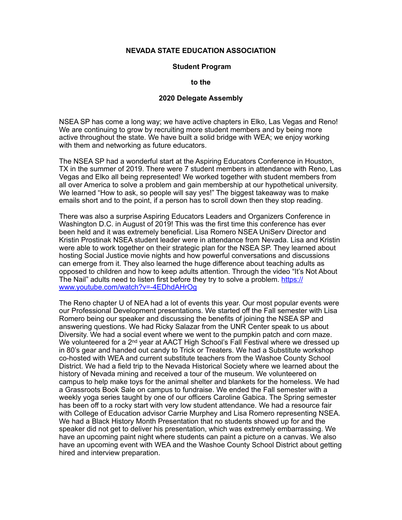## **NEVADA STATE EDUCATION ASSOCIATION**

## **Student Program**

**to the** 

## **2020 Delegate Assembly**

NSEA SP has come a long way; we have active chapters in Elko, Las Vegas and Reno! We are continuing to grow by recruiting more student members and by being more active throughout the state. We have built a solid bridge with WEA; we enjoy working with them and networking as future educators.

The NSEA SP had a wonderful start at the Aspiring Educators Conference in Houston, TX in the summer of 2019. There were 7 student members in attendance with Reno, Las Vegas and Elko all being represented! We worked together with student members from all over America to solve a problem and gain membership at our hypothetical university. We learned "How to ask, so people will say yes!" The biggest takeaway was to make emails short and to the point, if a person has to scroll down then they stop reading.

There was also a surprise Aspiring Educators Leaders and Organizers Conference in Washington D.C. in August of 2019! This was the first time this conference has ever been held and it was extremely beneficial. Lisa Romero NSEA UniServ Director and Kristin Prostinak NSEA student leader were in attendance from Nevada. Lisa and Kristin were able to work together on their strategic plan for the NSEA SP. They learned about hosting Social Justice movie nights and how powerful conversations and discussions can emerge from it. They also learned the huge difference about teaching adults as opposed to children and how to keep adults attention. Through the video "It's Not About The Nail" adults need to listen first before they try to solve a problem. [https://](https://www.youtube.com/watch?v=-4EDhdAHrOg) [www.youtube.com/watch?v=-4EDhdAHrOg](https://www.youtube.com/watch?v=-4EDhdAHrOg)

The Reno chapter U of NEA had a lot of events this year. Our most popular events were our Professional Development presentations. We started off the Fall semester with Lisa Romero being our speaker and discussing the benefits of joining the NSEA SP and answering questions. We had Ricky Salazar from the UNR Center speak to us about Diversity. We had a social event where we went to the pumpkin patch and corn maze. We volunteered for a 2<sup>nd</sup> year at AACT High School's Fall Festival where we dressed up in 80's gear and handed out candy to Trick or Treaters. We had a Substitute workshop co-hosted with WEA and current substitute teachers from the Washoe County School District. We had a field trip to the Nevada Historical Society where we learned about the history of Nevada mining and received a tour of the museum. We volunteered on campus to help make toys for the animal shelter and blankets for the homeless. We had a Grassroots Book Sale on campus to fundraise. We ended the Fall semester with a weekly yoga series taught by one of our officers Caroline Gabica. The Spring semester has been off to a rocky start with very low student attendance. We had a resource fair with College of Education advisor Carrie Murphey and Lisa Romero representing NSEA. We had a Black History Month Presentation that no students showed up for and the speaker did not get to deliver his presentation, which was extremely embarrassing. We have an upcoming paint night where students can paint a picture on a canvas. We also have an upcoming event with WEA and the Washoe County School District about getting hired and interview preparation.